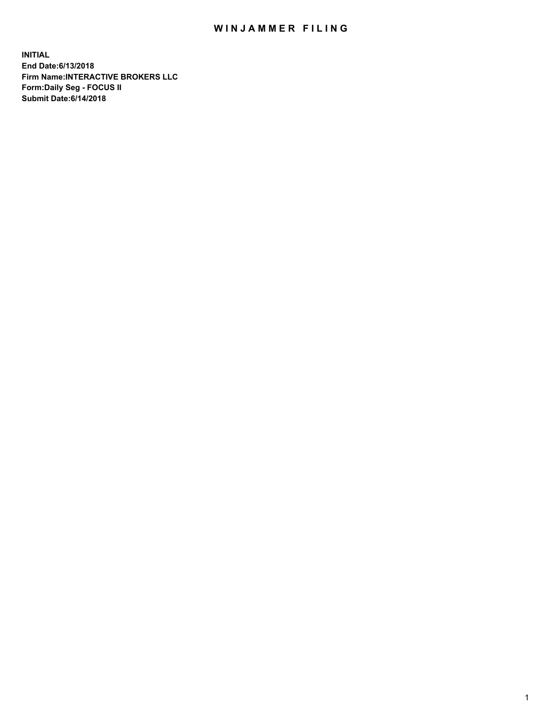## WIN JAMMER FILING

**INITIAL End Date:6/13/2018 Firm Name:INTERACTIVE BROKERS LLC Form:Daily Seg - FOCUS II Submit Date:6/14/2018**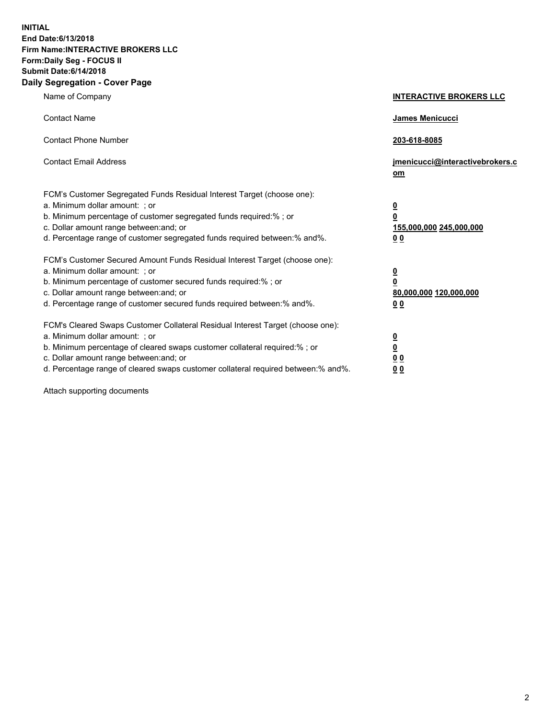**INITIAL End Date:6/13/2018 Firm Name:INTERACTIVE BROKERS LLC Form:Daily Seg - FOCUS II Submit Date:6/14/2018 Daily Segregation - Cover Page**

| Name of Company                                                                                                                                                                                                                                                                                                                | <b>INTERACTIVE BROKERS LLC</b>                                                                  |
|--------------------------------------------------------------------------------------------------------------------------------------------------------------------------------------------------------------------------------------------------------------------------------------------------------------------------------|-------------------------------------------------------------------------------------------------|
| <b>Contact Name</b>                                                                                                                                                                                                                                                                                                            | <b>James Menicucci</b>                                                                          |
| <b>Contact Phone Number</b>                                                                                                                                                                                                                                                                                                    | 203-618-8085                                                                                    |
| <b>Contact Email Address</b>                                                                                                                                                                                                                                                                                                   | jmenicucci@interactivebrokers.c<br>$om$                                                         |
| FCM's Customer Segregated Funds Residual Interest Target (choose one):<br>a. Minimum dollar amount: ; or<br>b. Minimum percentage of customer segregated funds required:% ; or<br>c. Dollar amount range between: and; or<br>d. Percentage range of customer segregated funds required between:% and%.                         | $\overline{\mathbf{0}}$<br>$\overline{\mathbf{0}}$<br>155,000,000 245,000,000<br>0 <sub>0</sub> |
| FCM's Customer Secured Amount Funds Residual Interest Target (choose one):<br>a. Minimum dollar amount: ; or<br>b. Minimum percentage of customer secured funds required:%; or<br>c. Dollar amount range between: and; or<br>d. Percentage range of customer secured funds required between:% and%.                            | $\overline{\mathbf{0}}$<br>$\overline{\mathbf{0}}$<br>80,000,000 120,000,000<br>0 <sub>0</sub>  |
| FCM's Cleared Swaps Customer Collateral Residual Interest Target (choose one):<br>a. Minimum dollar amount: ; or<br>b. Minimum percentage of cleared swaps customer collateral required:% ; or<br>c. Dollar amount range between: and; or<br>d. Percentage range of cleared swaps customer collateral required between:% and%. | $\overline{\mathbf{0}}$<br>$\underline{\mathbf{0}}$<br>0 <sub>0</sub><br>00                     |

Attach supporting documents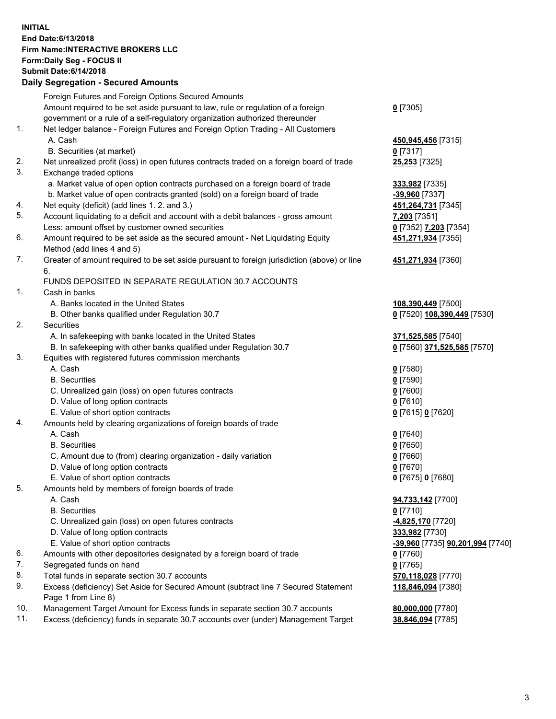## **INITIAL End Date:6/13/2018 Firm Name:INTERACTIVE BROKERS LLC Form:Daily Seg - FOCUS II Submit Date:6/14/2018 Daily Segregation - Secured Amounts**

|     | Daily Segregation - Secured Aniounts                                                        |                                  |
|-----|---------------------------------------------------------------------------------------------|----------------------------------|
|     | Foreign Futures and Foreign Options Secured Amounts                                         |                                  |
|     | Amount required to be set aside pursuant to law, rule or regulation of a foreign            | $0$ [7305]                       |
|     | government or a rule of a self-regulatory organization authorized thereunder                |                                  |
| 1.  | Net ledger balance - Foreign Futures and Foreign Option Trading - All Customers             |                                  |
|     | A. Cash                                                                                     | 450,945,456 [7315]               |
|     | B. Securities (at market)                                                                   | $0$ [7317]                       |
| 2.  | Net unrealized profit (loss) in open futures contracts traded on a foreign board of trade   | 25,253 [7325]                    |
| 3.  | Exchange traded options                                                                     |                                  |
|     | a. Market value of open option contracts purchased on a foreign board of trade              | 333,982 [7335]                   |
|     | b. Market value of open contracts granted (sold) on a foreign board of trade                | -39,960 [7337]                   |
| 4.  | Net equity (deficit) (add lines 1.2. and 3.)                                                | 451,264,731 [7345]               |
| 5.  | Account liquidating to a deficit and account with a debit balances - gross amount           | 7,203 [7351]                     |
|     | Less: amount offset by customer owned securities                                            | 0 [7352] 7,203 [7354]            |
| 6.  | Amount required to be set aside as the secured amount - Net Liquidating Equity              | 451,271,934 [7355]               |
|     | Method (add lines 4 and 5)                                                                  |                                  |
| 7.  | Greater of amount required to be set aside pursuant to foreign jurisdiction (above) or line | 451,271,934 [7360]               |
|     | 6.                                                                                          |                                  |
|     | FUNDS DEPOSITED IN SEPARATE REGULATION 30.7 ACCOUNTS                                        |                                  |
| 1.  | Cash in banks                                                                               |                                  |
|     | A. Banks located in the United States                                                       | 108,390,449 [7500]               |
|     | B. Other banks qualified under Regulation 30.7                                              | 0 [7520] 108,390,449 [7530]      |
| 2.  | Securities                                                                                  |                                  |
|     | A. In safekeeping with banks located in the United States                                   | 371,525,585 [7540]               |
|     | B. In safekeeping with other banks qualified under Regulation 30.7                          | 0 [7560] 371,525,585 [7570]      |
| 3.  | Equities with registered futures commission merchants                                       |                                  |
|     | A. Cash                                                                                     | $0$ [7580]                       |
|     | <b>B.</b> Securities                                                                        | $0$ [7590]                       |
|     | C. Unrealized gain (loss) on open futures contracts                                         | $0$ [7600]                       |
|     | D. Value of long option contracts                                                           | $0$ [7610]                       |
|     | E. Value of short option contracts                                                          | 0 [7615] 0 [7620]                |
| 4.  | Amounts held by clearing organizations of foreign boards of trade                           |                                  |
|     | A. Cash                                                                                     | $0$ [7640]                       |
|     | <b>B.</b> Securities                                                                        | $0$ [7650]                       |
|     | C. Amount due to (from) clearing organization - daily variation                             | $0$ [7660]                       |
|     | D. Value of long option contracts                                                           | $0$ [7670]                       |
| 5.  | E. Value of short option contracts                                                          | 0 [7675] 0 [7680]                |
|     | Amounts held by members of foreign boards of trade                                          |                                  |
|     | A. Cash<br><b>B.</b> Securities                                                             | 94,733,142 [7700]<br>$0$ [7710]  |
|     | C. Unrealized gain (loss) on open futures contracts                                         | 4,825,170 [7720]                 |
|     | D. Value of long option contracts                                                           | 333,982 [7730]                   |
|     | E. Value of short option contracts                                                          | -39,960 [7735] 90,201,994 [7740] |
| 6.  | Amounts with other depositories designated by a foreign board of trade                      | 0 [7760]                         |
| 7.  | Segregated funds on hand                                                                    | $0$ [7765]                       |
| 8.  | Total funds in separate section 30.7 accounts                                               | 570,118,028 [7770]               |
| 9.  | Excess (deficiency) Set Aside for Secured Amount (subtract line 7 Secured Statement         | 118,846,094 [7380]               |
|     | Page 1 from Line 8)                                                                         |                                  |
| 10. | Management Target Amount for Excess funds in separate section 30.7 accounts                 | 80,000,000 [7780]                |
| 11. | Excess (deficiency) funds in separate 30.7 accounts over (under) Management Target          | 38,846,094 [7785]                |
|     |                                                                                             |                                  |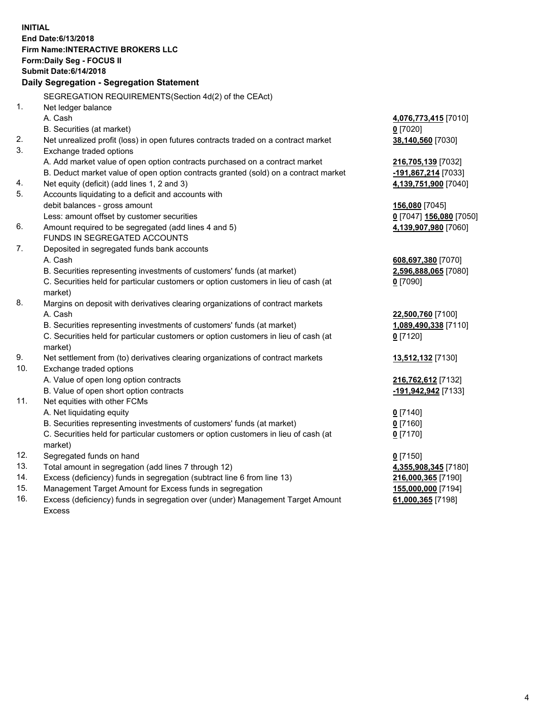**INITIAL End Date:6/13/2018 Firm Name:INTERACTIVE BROKERS LLC Form:Daily Seg - FOCUS II Submit Date:6/14/2018 Daily Segregation - Segregation Statement** SEGREGATION REQUIREMENTS(Section 4d(2) of the CEAct) 1. Net ledger balance A. Cash **4,076,773,415** [7010] B. Securities (at market) **0** [7020] 2. Net unrealized profit (loss) in open futures contracts traded on a contract market **38,140,560** [7030] 3. Exchange traded options A. Add market value of open option contracts purchased on a contract market **216,705,139** [7032] B. Deduct market value of open option contracts granted (sold) on a contract market **-191,867,214** [7033] 4. Net equity (deficit) (add lines 1, 2 and 3) **4,139,751,900** [7040] 5. Accounts liquidating to a deficit and accounts with debit balances - gross amount **156,080** [7045] Less: amount offset by customer securities **0** [7047] **156,080** [7050] 6. Amount required to be segregated (add lines 4 and 5) **4,139,907,980** [7060] FUNDS IN SEGREGATED ACCOUNTS 7. Deposited in segregated funds bank accounts A. Cash **608,697,380** [7070] B. Securities representing investments of customers' funds (at market) **2,596,888,065** [7080] C. Securities held for particular customers or option customers in lieu of cash (at market) **0** [7090] 8. Margins on deposit with derivatives clearing organizations of contract markets A. Cash **22,500,760** [7100] B. Securities representing investments of customers' funds (at market) **1,089,490,338** [7110] C. Securities held for particular customers or option customers in lieu of cash (at market) **0** [7120] 9. Net settlement from (to) derivatives clearing organizations of contract markets **13,512,132** [7130] 10. Exchange traded options A. Value of open long option contracts **216,762,612** [7132] B. Value of open short option contracts **-191,942,942** [7133] 11. Net equities with other FCMs A. Net liquidating equity **0** [7140] B. Securities representing investments of customers' funds (at market) **0** [7160] C. Securities held for particular customers or option customers in lieu of cash (at market) **0** [7170] 12. Segregated funds on hand **0** [7150] 13. Total amount in segregation (add lines 7 through 12) **4,355,908,345** [7180] 14. Excess (deficiency) funds in segregation (subtract line 6 from line 13) **216,000,365** [7190] 15. Management Target Amount for Excess funds in segregation **155,000,000** [7194] **61,000,365** [7198]

16. Excess (deficiency) funds in segregation over (under) Management Target Amount Excess